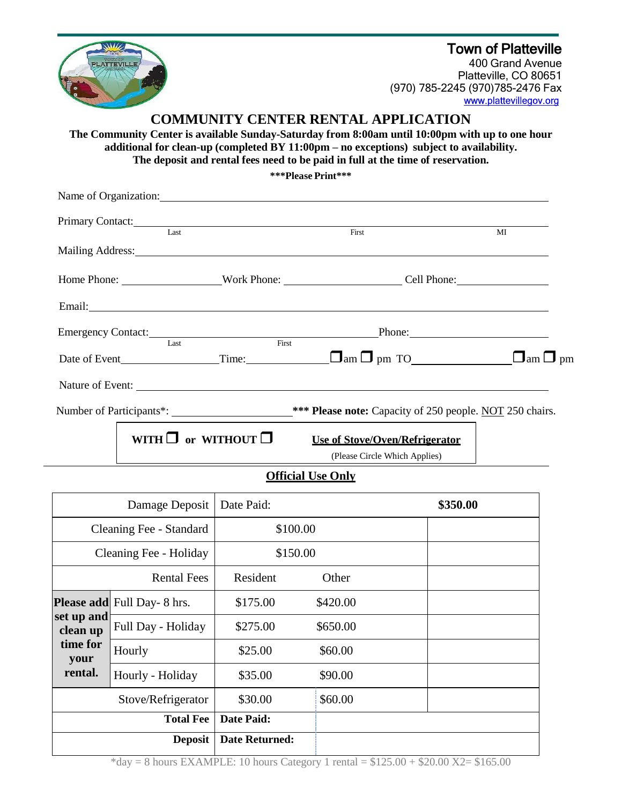## Town of Platteville



400 Grand Avenue Platteville, CO 80651 (970) 785-2245 (970)785-2476 Fax

# **COMMUNITY CENTER RENTAL APPLICATION**

**The Community Center is available Sunday-Saturday from 8:00am until 10:00pm with up to one hour additional for clean-up (completed BY 11:00pm – no exceptions) subject to availability. The deposit and rental fees need to be paid in full at the time of reservation.**

**\*\*\*Please Print\*\*\***

|  | Last                          | First                                                                                                                                                                                                                          | MI                  |  |
|--|-------------------------------|--------------------------------------------------------------------------------------------------------------------------------------------------------------------------------------------------------------------------------|---------------------|--|
|  |                               |                                                                                                                                                                                                                                |                     |  |
|  |                               |                                                                                                                                                                                                                                |                     |  |
|  |                               |                                                                                                                                                                                                                                |                     |  |
|  |                               | Emergency Contact: Last First Phone: Manual Phone Phone Phone Phone Phone Phone Phone Phone Phone Phone Phone Phone Phone Phone Phone Phone Phone Phone Phone Phone Phone Phone Phone Phone Phone Phone Phone Phone Phone Phon |                     |  |
|  |                               | Date of Event Time: $\Box$ am $\Box$ pm TO                                                                                                                                                                                     | $\Box$ am $\Box$ pm |  |
|  |                               |                                                                                                                                                                                                                                |                     |  |
|  |                               | Number of Participants*: _________________________*** Please note: Capacity of 250 people. NOT 250 chairs.                                                                                                                     |                     |  |
|  | WITH $\Box$ or WITHOUT $\Box$ | Use of Stove/Oven/Refrigerator                                                                                                                                                                                                 |                     |  |
|  |                               | (Please Circle Which Applies)                                                                                                                                                                                                  |                     |  |

### **Official Use Only**

| Damage Deposit                                        |                                    | Date Paid:            |          | \$350.00 |
|-------------------------------------------------------|------------------------------------|-----------------------|----------|----------|
| Cleaning Fee - Standard                               |                                    | \$100.00              |          |          |
| Cleaning Fee - Holiday                                |                                    | \$150.00              |          |          |
| <b>Rental Fees</b>                                    |                                    | Resident              | Other    |          |
| set up and<br>clean up<br>time for<br>your<br>rental. | <b>Please add</b> Full Day- 8 hrs. | \$175.00              | \$420.00 |          |
|                                                       | Full Day - Holiday                 | \$275.00              | \$650.00 |          |
|                                                       | Hourly                             | \$25.00               | \$60.00  |          |
|                                                       | Hourly - Holiday                   | \$35.00               | \$90.00  |          |
| Stove/Refrigerator                                    |                                    | \$30.00               | \$60.00  |          |
| <b>Total Fee</b>                                      |                                    | Date Paid:            |          |          |
| <b>Deposit</b>                                        |                                    | <b>Date Returned:</b> |          |          |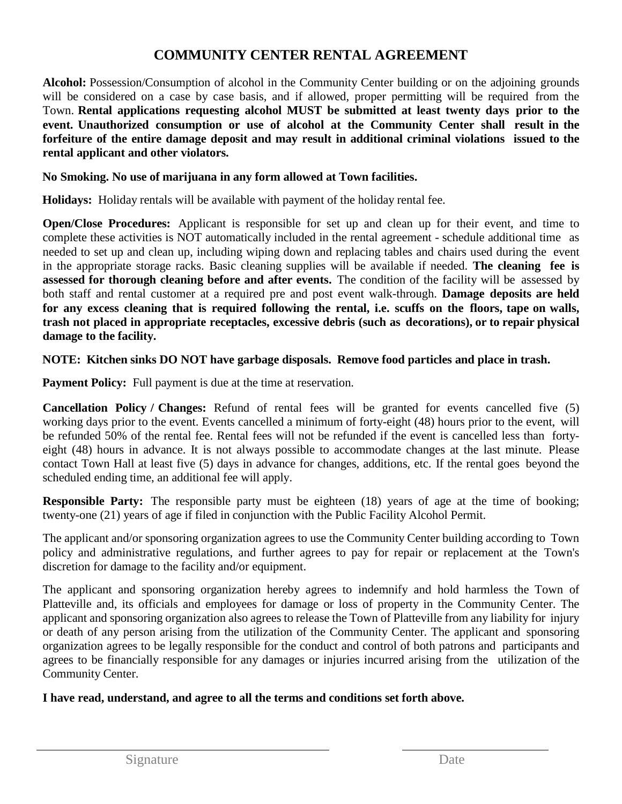# **COMMUNITY CENTER RENTAL AGREEMENT**

**Alcohol:** Possession/Consumption of alcohol in the Community Center building or on the adjoining grounds will be considered on a case by case basis, and if allowed, proper permitting will be required from the Town. **Rental applications requesting alcohol MUST be submitted at least twenty days prior to the event. Unauthorized consumption or use of alcohol at the Community Center shall result in the forfeiture of the entire damage deposit and may result in additional criminal violations issued to the rental applicant and other violators.**

### **No Smoking. No use of marijuana in any form allowed at Town facilities.**

**Holidays:** Holiday rentals will be available with payment of the holiday rental fee.

**Open/Close Procedures:** Applicant is responsible for set up and clean up for their event, and time to complete these activities is NOT automatically included in the rental agreement - schedule additional time as needed to set up and clean up, including wiping down and replacing tables and chairs used during the event in the appropriate storage racks. Basic cleaning supplies will be available if needed. **The cleaning fee is assessed for thorough cleaning before and after events.** The condition of the facility will be assessed by both staff and rental customer at a required pre and post event walk-through. **Damage deposits are held** for any excess cleaning that is required following the rental, *i.e.* scuffs on the floors, tape on walls, **trash not placed in appropriate receptacles, excessive debris (such as decorations), or to repair physical damage to the facility.**

**NOTE: Kitchen sinks DO NOT have garbage disposals. Remove food particles and place in trash.**

**Payment Policy:** Full payment is due at the time at reservation.

**Cancellation Policy / Changes:** Refund of rental fees will be granted for events cancelled five (5) working days prior to the event. Events cancelled a minimum of forty-eight (48) hours prior to the event, will be refunded 50% of the rental fee. Rental fees will not be refunded if the event is cancelled less than fortyeight (48) hours in advance. It is not always possible to accommodate changes at the last minute. Please contact Town Hall at least five (5) days in advance for changes, additions, etc. If the rental goes beyond the scheduled ending time, an additional fee will apply.

**Responsible Party:** The responsible party must be eighteen (18) years of age at the time of booking; twenty-one (21) years of age if filed in conjunction with the Public Facility Alcohol Permit.

The applicant and/or sponsoring organization agrees to use the Community Center building according to Town policy and administrative regulations, and further agrees to pay for repair or replacement at the Town's discretion for damage to the facility and/or equipment.

The applicant and sponsoring organization hereby agrees to indemnify and hold harmless the Town of Platteville and, its officials and employees for damage or loss of property in the Community Center. The applicant and sponsoring organization also agrees to release the Town of Platteville from any liability for injury or death of any person arising from the utilization of the Community Center. The applicant and sponsoring organization agrees to be legally responsible for the conduct and control of both patrons and participants and agrees to be financially responsible for any damages or injuries incurred arising from the utilization of the Community Center.

## **I have read, understand, and agree to all the terms and conditions set forth above.**